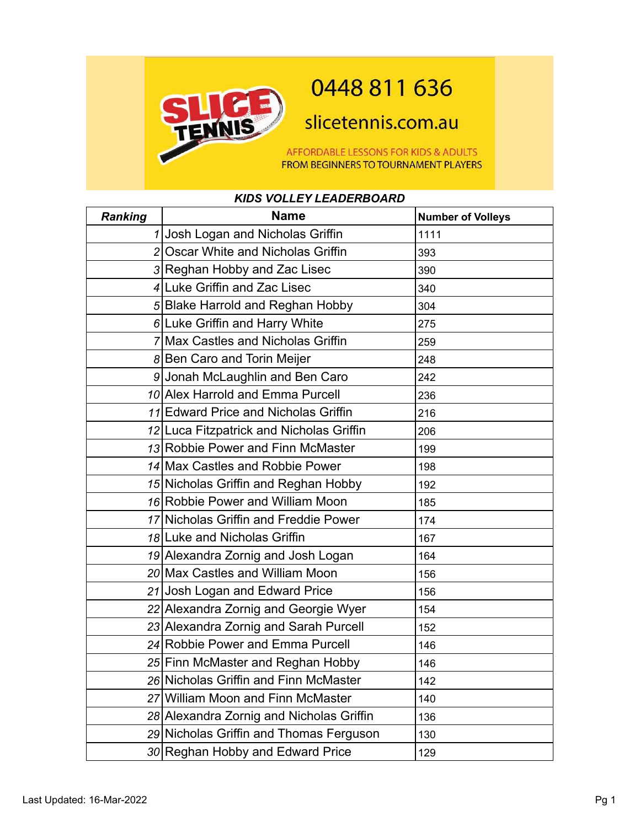

## 0448 811 636

slicetennis.com.au

AFFORDABLE LESSONS FOR KIDS & ADULTS FROM BEGINNERS TO TOURNAMENT PLAYERS

## *KIDS VOLLEY LEADERBOARD*

| <b>Ranking</b> | <b>Name</b>                              | <b>Number of Volleys</b> |
|----------------|------------------------------------------|--------------------------|
|                | 1 Josh Logan and Nicholas Griffin        | 1111                     |
|                | 2 Oscar White and Nicholas Griffin       | 393                      |
|                | 3 Reghan Hobby and Zac Lisec             | 390                      |
|                | 4 Luke Griffin and Zac Lisec             | 340                      |
|                | 5 Blake Harrold and Reghan Hobby         | 304                      |
|                | $6$ Luke Griffin and Harry White         | 275                      |
|                | 7 Max Castles and Nicholas Griffin       | 259                      |
|                | 8 Ben Caro and Torin Meijer              | 248                      |
|                | 9 Jonah McLaughlin and Ben Caro          | 242                      |
|                | 10 Alex Harrold and Emma Purcell         | 236                      |
|                | 11 Edward Price and Nicholas Griffin     | 216                      |
|                | 12 Luca Fitzpatrick and Nicholas Griffin | 206                      |
|                | 13 Robbie Power and Finn McMaster        | 199                      |
|                | 14 Max Castles and Robbie Power          | 198                      |
|                | 15 Nicholas Griffin and Reghan Hobby     | 192                      |
|                | 16 Robbie Power and William Moon         | 185                      |
|                | 17 Nicholas Griffin and Freddie Power    | 174                      |
|                | 18 Luke and Nicholas Griffin             | 167                      |
|                | 19 Alexandra Zornig and Josh Logan       | 164                      |
|                | 20 Max Castles and William Moon          | 156                      |
|                | 21 Josh Logan and Edward Price           | 156                      |
|                | 22 Alexandra Zornig and Georgie Wyer     | 154                      |
|                | 23 Alexandra Zornig and Sarah Purcell    | 152                      |
|                | 24 Robbie Power and Emma Purcell         | 146                      |
|                | 25 Finn McMaster and Reghan Hobby        | 146                      |
|                | 26 Nicholas Griffin and Finn McMaster    | 142                      |
|                | 27 William Moon and Finn McMaster        | 140                      |
|                | 28 Alexandra Zornig and Nicholas Griffin | 136                      |
|                | 29 Nicholas Griffin and Thomas Ferguson  | 130                      |
|                | 30 Reghan Hobby and Edward Price         | 129                      |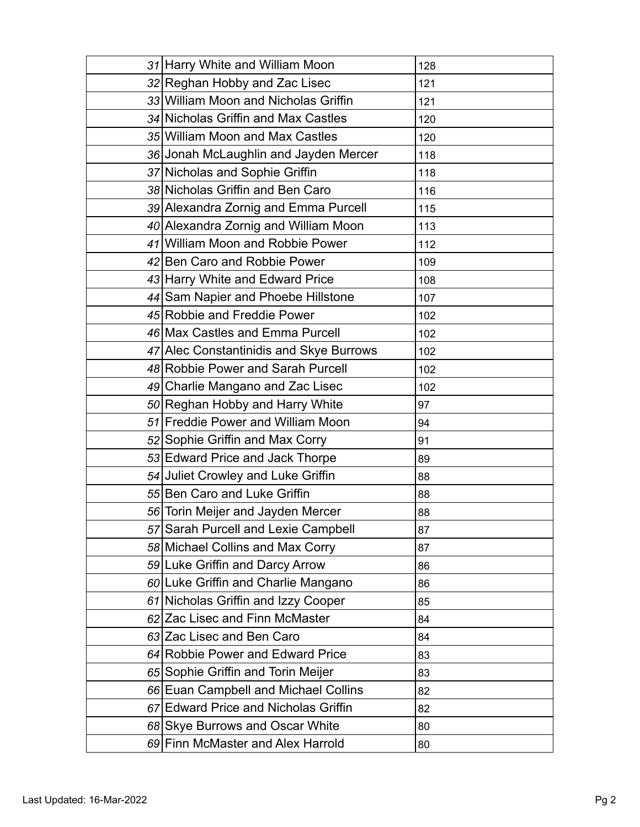| 31 Harry White and William Moon         | 128 |
|-----------------------------------------|-----|
| 32 Reghan Hobby and Zac Lisec           | 121 |
| 33 William Moon and Nicholas Griffin    | 121 |
| 34 Nicholas Griffin and Max Castles     | 120 |
| 35 William Moon and Max Castles         | 120 |
| 36 Jonah McLaughlin and Jayden Mercer   | 118 |
| 37 Nicholas and Sophie Griffin          | 118 |
| 38 Nicholas Griffin and Ben Caro        | 116 |
| 39 Alexandra Zornig and Emma Purcell    | 115 |
| 40 Alexandra Zornig and William Moon    | 113 |
| 41 William Moon and Robbie Power        | 112 |
| 42 Ben Caro and Robbie Power            | 109 |
| 43 Harry White and Edward Price         | 108 |
| 44 Sam Napier and Phoebe Hillstone      | 107 |
| 45 Robbie and Freddie Power             | 102 |
| 46 Max Castles and Emma Purcell         | 102 |
| 47 Alec Constantinidis and Skye Burrows | 102 |
| 48 Robbie Power and Sarah Purcell       | 102 |
| 49 Charlie Mangano and Zac Lisec        | 102 |
| 50 Reghan Hobby and Harry White         | 97  |
| 51 Freddie Power and William Moon       | 94  |
| 52 Sophie Griffin and Max Corry         | 91  |
| 53 Edward Price and Jack Thorpe         | 89  |
| 54 Juliet Crowley and Luke Griffin      | 88  |
| 55 Ben Caro and Luke Griffin            | 88  |
| 56 Torin Meijer and Jayden Mercer       | 88  |
| 57 Sarah Purcell and Lexie Campbell     | 87  |
| 58 Michael Collins and Max Corry        | 87  |
| 59 Luke Griffin and Darcy Arrow         | 86  |
| 60 Luke Griffin and Charlie Mangano     | 86  |
| 61 Nicholas Griffin and Izzy Cooper     | 85  |
| 62 Zac Lisec and Finn McMaster          | 84  |
| 63 Zac Lisec and Ben Caro               | 84  |
| 64 Robbie Power and Edward Price        | 83  |
| 65 Sophie Griffin and Torin Meijer      | 83  |
| 66 Euan Campbell and Michael Collins    | 82  |
| 67 Edward Price and Nicholas Griffin    | 82  |
| 68 Skye Burrows and Oscar White         | 80  |
| 69 Finn McMaster and Alex Harrold       | 80  |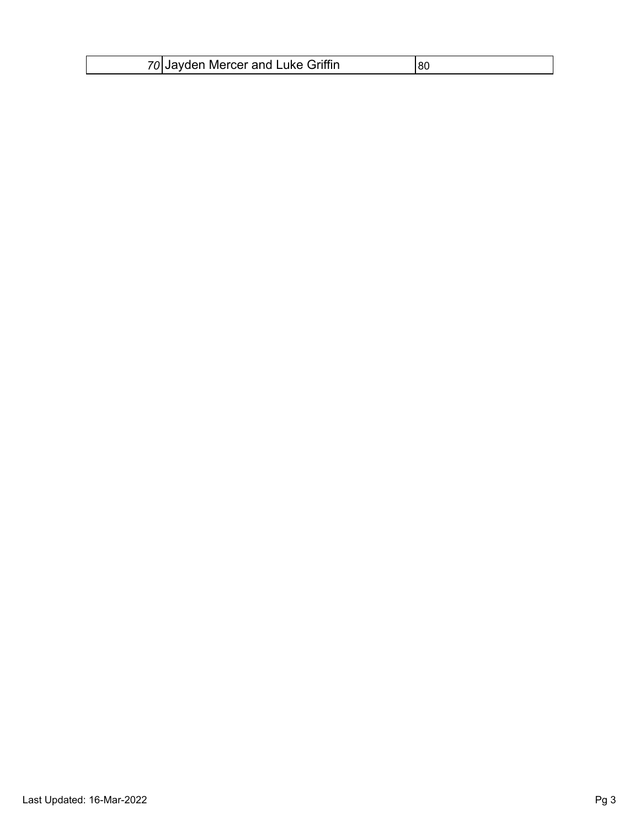| 70 Jayden Mercer and Luke Griffin |  |
|-----------------------------------|--|
|-----------------------------------|--|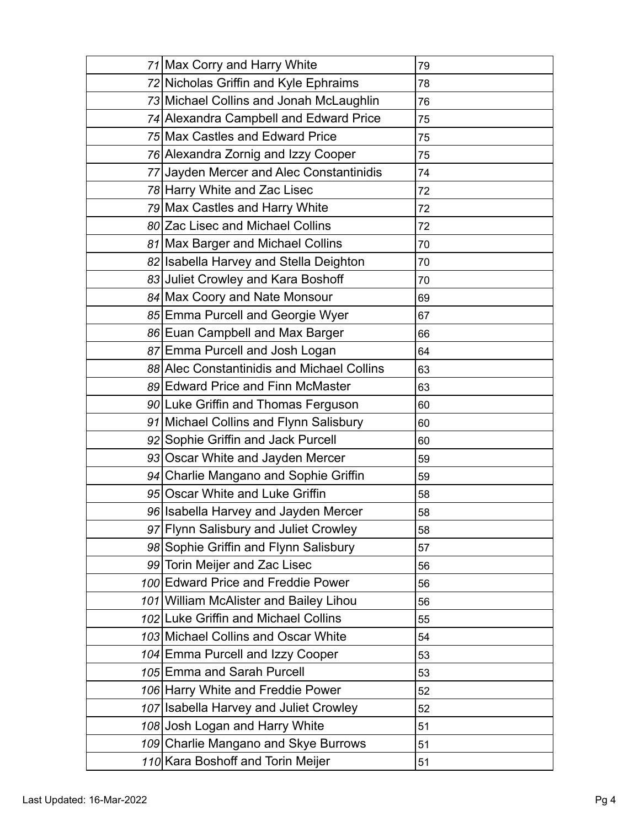| 71 Max Corry and Harry White               | 79 |
|--------------------------------------------|----|
| 72 Nicholas Griffin and Kyle Ephraims      | 78 |
| 73 Michael Collins and Jonah McLaughlin    | 76 |
| 74 Alexandra Campbell and Edward Price     | 75 |
| 75 Max Castles and Edward Price            | 75 |
| 76 Alexandra Zornig and Izzy Cooper        | 75 |
| 77 Jayden Mercer and Alec Constantinidis   | 74 |
| 78 Harry White and Zac Lisec               | 72 |
| 79 Max Castles and Harry White             | 72 |
| 80 Zac Lisec and Michael Collins           | 72 |
| 81 Max Barger and Michael Collins          | 70 |
| 82 Isabella Harvey and Stella Deighton     | 70 |
| 83 Juliet Crowley and Kara Boshoff         | 70 |
| 84 Max Coory and Nate Monsour              | 69 |
| 85 Emma Purcell and Georgie Wyer           | 67 |
| 86 Euan Campbell and Max Barger            | 66 |
| 87 Emma Purcell and Josh Logan             | 64 |
| 88 Alec Constantinidis and Michael Collins | 63 |
| 89 Edward Price and Finn McMaster          | 63 |
| 90 Luke Griffin and Thomas Ferguson        | 60 |
| 91 Michael Collins and Flynn Salisbury     | 60 |
| 92 Sophie Griffin and Jack Purcell         | 60 |
| 93 Oscar White and Jayden Mercer           | 59 |
| 94 Charlie Mangano and Sophie Griffin      | 59 |
| 95 Oscar White and Luke Griffin            | 58 |
| 96 Isabella Harvey and Jayden Mercer       | 58 |
| 97 Flynn Salisbury and Juliet Crowley      | 58 |
| 98 Sophie Griffin and Flynn Salisbury      | 57 |
| 99 Torin Meijer and Zac Lisec              | 56 |
| 100 Edward Price and Freddie Power         | 56 |
| 101 William McAlister and Bailey Lihou     | 56 |
| 102 Luke Griffin and Michael Collins       | 55 |
| 103 Michael Collins and Oscar White        | 54 |
| 104 Emma Purcell and Izzy Cooper           | 53 |
| 105 Emma and Sarah Purcell                 | 53 |
| 106 Harry White and Freddie Power          | 52 |
| 107 Isabella Harvey and Juliet Crowley     | 52 |
| 108 Josh Logan and Harry White             | 51 |
| 109 Charlie Mangano and Skye Burrows       | 51 |
| 110 Kara Boshoff and Torin Meijer          | 51 |